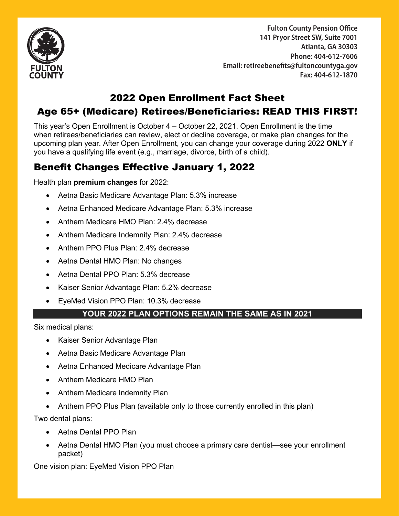

**Fulton County Pension Office** 141 Pryor Street SW, Suite 7001 **Atlanta, GA 30303 Phone: 404-612-7606**  Phone: 404-612-7606 **Email: retireebenefits@fultoncountyga.gov**  Email: **retireebenefits@fultoncountyga.gov Fax: 404-612-1870** Fax: 404-612-1870

# 2022 Open Enrollment Fact Sheet

## Age 65+ (Medicare) Retirees/Beneficiaries: READ THIS FIRST!

This year's Open Enrollment is October 4 – October 22, 2021. Open Enrollment is the time when retirees/beneficiaries can review, elect or decline coverage, or make plan changes for the upcoming plan year. After Open Enrollment, you can change your coverage during 2022 **ONLY** if you have a qualifying life event (e.g., marriage, divorce, birth of a child).

# Benefit Changes Effective January 1, 2022

Health plan **premium changes** for 2022:

- Aetna Basic Medicare Advantage Plan: 5.3% increase
- Aetna Enhanced Medicare Advantage Plan: 5.3% increase
- Anthem Medicare HMO Plan: 2.4% decrease
- Anthem Medicare Indemnity Plan: 2.4% decrease
- Anthem PPO Plus Plan: 2.4% decrease
- Aetna Dental HMO Plan: No changes
- Aetna Dental PPO Plan: 5.3% decrease
- Kaiser Senior Advantage Plan: 5.2% decrease
- EyeMed Vision PPO Plan: 10.3% decrease

#### **YOUR 2022 PLAN OPTIONS REMAIN THE SAME AS IN 2021**

Six medical plans:

- Kaiser Senior Advantage Plan
- Aetna Basic Medicare Advantage Plan
- Aetna Enhanced Medicare Advantage Plan
- Anthem Medicare HMO Plan
- Anthem Medicare Indemnity Plan
- Anthem PPO Plus Plan (available only to those currently enrolled in this plan)

Two dental plans:

- Aetna Dental PPO Plan
- Aetna Dental HMO Plan (you must choose a primary care dentist—see your enrollment packet)

One vision plan: EyeMed Vision PPO Plan